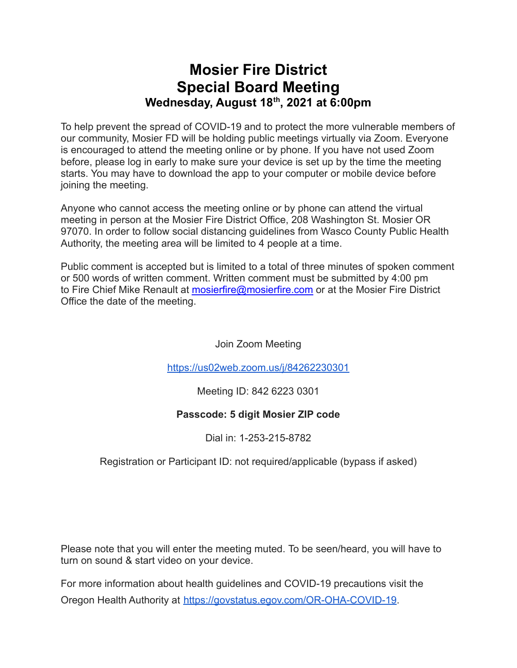# **Mosier Fire District Special Board Meeting Wednesday, August 18 th , 2021 at 6:00pm**

To help prevent the spread of COVID-19 and to protect the more vulnerable members of our community, Mosier FD will be holding public meetings virtually via Zoom. Everyone is encouraged to attend the meeting online or by phone. If you have not used Zoom before, please log in early to make sure your device is set up by the time the meeting starts. You may have to download the app to your computer or mobile device before joining the meeting.

Anyone who cannot access the meeting online or by phone can attend the virtual meeting in person at the Mosier Fire District Office, 208 Washington St. Mosier OR 97070. In order to follow social distancing guidelines from Wasco County Public Health Authority, the meeting area will be limited to 4 people at a time.

Public comment is accepted but is limited to a total of three minutes of spoken comment or 500 words of written comment. Written comment must be submitted by 4:00 pm to Fire Chief Mike Renault at [mosierfire@mosierfire.com](mailto:mosierfire@mosierfire.com) or at the Mosier Fire District Office the date of the meeting.

Join Zoom Meeting

<https://us02web.zoom.us/j/84262230301>

Meeting ID: 842 6223 0301

#### **Passcode: 5 digit Mosier ZIP code**

Dial in: 1-253-215-8782

Registration or Participant ID: not required/applicable (bypass if asked)

Please note that you will enter the meeting muted. To be seen/heard, you will have to turn on sound & start video on your device.

For more information about health guidelines and COVID-19 precautions visit the Oregon Health Authority at [https://govstatus.egov.com/OR-OHA-COVID-19.](https://govstatus.egov.com/OR-OHA-COVID-19)